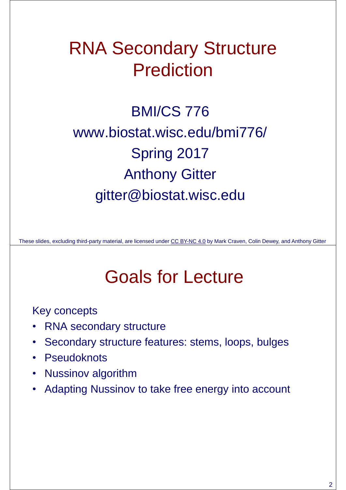#### RNA Secondary Structure Prediction

BMI/CS 776 www.biostat.wisc.edu/bmi776/ Spring 2017 Anthony Gitter gitter@biostat.wisc.edu

These slides, excluding third-party material, are licensed under CC BY-NC 4.0 by Mark Craven, Colin Dewey, and Anthony Gitter

# Goals for Lecture

Key concepts

- RNA secondary structure
- Secondary structure features: stems, loops, bulges
- Pseudoknots
- Nussinov algorithm
- Adapting Nussinov to take free energy into account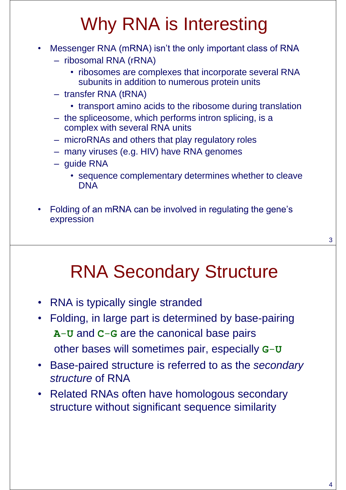# Why RNA is Interesting

- Messenger RNA (mRNA) isn't the only important class of RNA
	- ribosomal RNA (rRNA)
		- ribosomes are complexes that incorporate several RNA subunits in addition to numerous protein units
	- transfer RNA (tRNA)
		- transport amino acids to the ribosome during translation
	- the spliceosome, which performs intron splicing, is a complex with several RNA units
	- microRNAs and others that play regulatory roles
	- many viruses (e.g. HIV) have RNA genomes
	- guide RNA
		- sequence complementary determines whether to cleave DNA
- Folding of an mRNA can be involved in regulating the gene's expression

#### RNA Secondary Structure

- RNA is typically single stranded
- Folding, in large part is determined by base-pairing **A**-**U** and **C**-**G** are the canonical base pairs other bases will sometimes pair, especially **G**-**U**
- Base-paired structure is referred to as the *secondary structure* of RNA
- Related RNAs often have homologous secondary structure without significant sequence similarity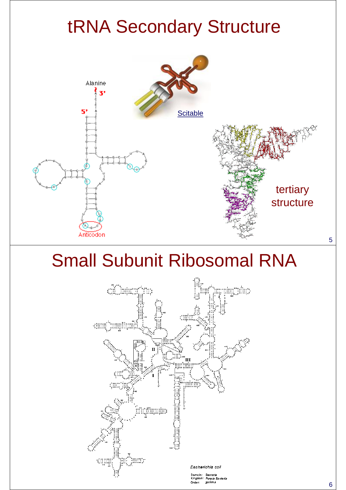# tRNA Secondary Structure



# Small Subunit Ribosomal RNA

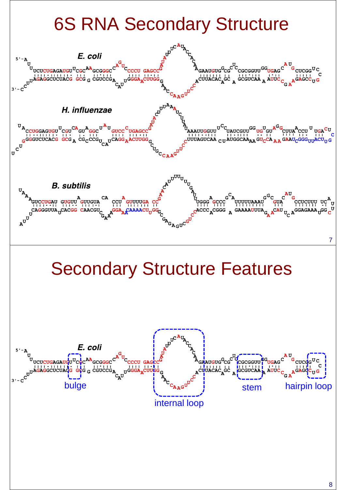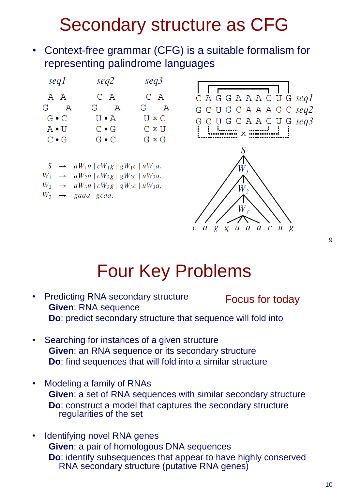# Secondary structure as CFG

• Context-free grammar (CFG) is a suitable formalism for representing palindrome languages



#### Four Key Problems

- Predicting RNA secondary structure **Given**: RNA sequence **Do**: predict secondary structure that sequence will fold into Focus for today
- Searching for instances of a given structure **Given**: an RNA sequence or its secondary structure **Do**: find sequences that will fold into a similar structure
- Modeling a family of RNAs **Given**: a set of RNA sequences with similar secondary structure **Do**: construct a model that captures the secondary structure regularities of the set
- Identifying novel RNA genes **Given**: a pair of homologous DNA sequences **Do**: identify subsequences that appear to have highly conserved RNA secondary structure (putative RNA genes)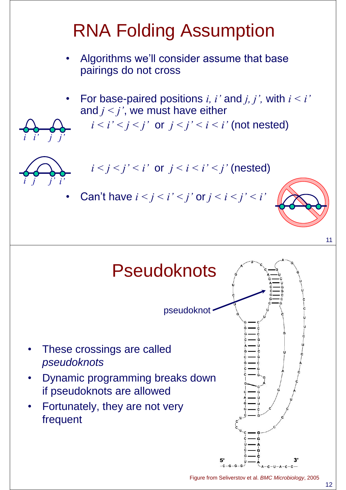# RNA Folding Assumption

- Algorithms we'll consider assume that base pairings do not cross
- For base-paired positions *i, i'* and *j, j'*, with  $i < i'$ and *j < j'*, we must have either
	- $i < i' < j' < j'$  or  $j < j' < i < i'$  (not nested)



*i i' j j'*

- $i < j < j' < i'$  or  $j < i < i' < j'$  (nested)
- Can't have  $i < j < i' < j'$  or  $j < i < j' < i'$

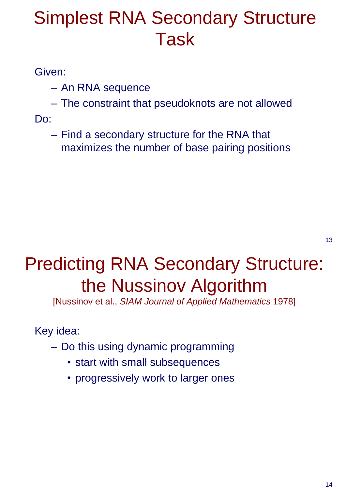#### Simplest RNA Secondary Structure Task

#### Given:

- An RNA sequence
- The constraint that pseudoknots are not allowed

Do:

– Find a secondary structure for the RNA that maximizes the number of base pairing positions

### Predicting RNA Secondary Structure: the Nussinov Algorithm

[Nussinov et al., *SIAM Journal of Applied Mathematics* 1978]

Key idea:

- Do this using dynamic programming
	- start with small subsequences
	- progressively work to larger ones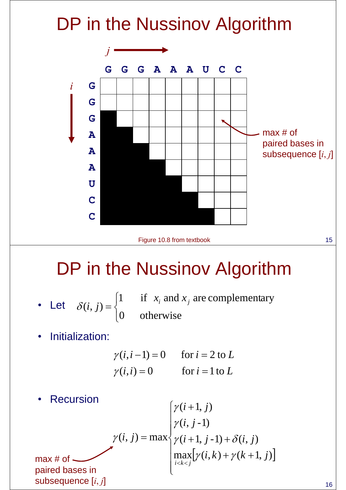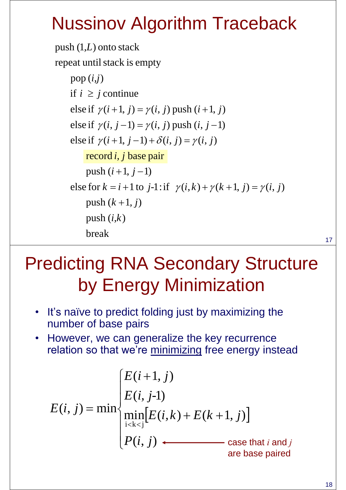## Nussinov Algorithm Traceback

 break  $\text{push }(i,k)$ push  $(k+1, j)$ else for  $k = i + 1$  to  $j-1$ : if  $\gamma(i, k) + \gamma(k+1, j) = \gamma(i, j)$ <br>push  $(k + 1, j)$  $\text{push}(i+1, j-1)$ record *i*, *j* base pair else if  $\gamma(i+1, j-1) + \delta(i, j) = \gamma(i, j)$ <br>record *i*, *j* base pair else if  $\gamma(i, j-1) = \gamma(i, j)$  push  $(i, j-1)$ else if  $\gamma(i+1, j) = \gamma(i, j)$  push  $(i+1, j)$ pop  $(i,j)$ <br>if  $i \ge j$  continue repeat until stack is empty  $\mathsf{push}(1, L)$  onto stack  $pop(i,j)$ 

# Predicting RNA Secondary Structure by Energy Minimization

- It's naïve to predict folding just by maximizing the number of base pairs
- However, we can generalize the key recurrence relation so that we're minimizing free energy instead

$$
E(i, j) = min \begin{cases} E(i+1, j) \\ E(i, j-1) \\ \min_{i < k < j} [E(i, k) + E(k+1, j)] \\ P(i, j) \longleftarrow \text{case that } i \text{ and } j \\ \text{are base paired} \end{cases}
$$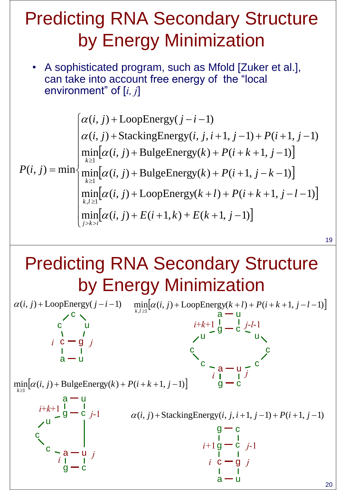### Predicting RNA Secondary Structure by Energy Minimization

• A sophisticated program, such as Mfold [Zuker et al.], can take into account free energy of the "local environment" of [*i, j*]

$$
\alpha(i, j) + \text{LoopEnergy}(j - i - 1)
$$
\n
$$
\alpha(i, j) + \text{StackingEnergy}(i, j, i + 1, j - 1) + P(i + 1, j - 1)
$$
\n
$$
\min_{k \ge 1} [\alpha(i, j) + \text{BulgeEnergy}(k) + P(i + k + 1, j - 1)]
$$
\n
$$
P(i, j) = \min \{ \min_{k \ge 1} [\alpha(i, j) + \text{BulgeEnergy}(k) + P(i + 1, j - k - 1)]
$$
\n
$$
\min_{k, l \ge 1} [\alpha(i, j) + \text{LoopEnergy}(k + l) + P(i + k + 1, j - l - 1)]
$$
\n
$$
\min_{j > k > i} [\alpha(i, j) + E(i + 1, k) + E(k + 1, j - 1)]
$$

#### Predicting RNA Secondary Structure by Energy Minimization